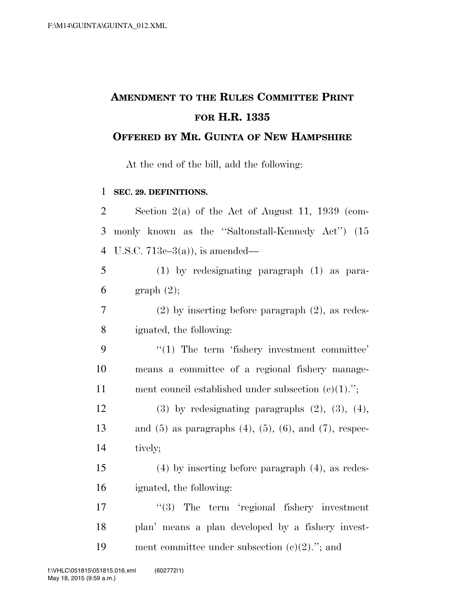# **AMENDMENT TO THE RULES COMMITTEE PRINT FOR H.R. 1335**

### **OFFERED BY MR. GUINTA OF NEW HAMPSHIRE**

At the end of the bill, add the following:

#### **SEC. 29. DEFINITIONS.**

| $\overline{2}$ | Section $2(a)$ of the Act of August 11, 1939 (com-                  |
|----------------|---------------------------------------------------------------------|
| 3              | monly known as the "Saltonstall-Kennedy Act" (15                    |
| $\overline{4}$ | U.S.C. $713e-3(a)$ , is amended—                                    |
| 5              | $(1)$ by redesignating paragraph $(1)$ as para-                     |
| 6              | graph(2);                                                           |
| 7              | $(2)$ by inserting before paragraph $(2)$ , as redes-               |
| 8              | ignated, the following:                                             |
| 9              | $"(1)$ The term 'fishery investment committee'                      |
| 10             | means a committee of a regional fishery manage-                     |
| 11             | ment council established under subsection $(c)(1)$ .";              |
| 12             | $(3)$ by redesignating paragraphs $(2)$ , $(3)$ , $(4)$ ,           |
| 13             | and $(5)$ as paragraphs $(4)$ , $(5)$ , $(6)$ , and $(7)$ , respec- |
| 14             | tively;                                                             |
| 15             | $(4)$ by inserting before paragraph $(4)$ , as redes-               |
| 16             | ignated, the following:                                             |
| 17             | $\lq(3)$ The term 'regional fishery investment                      |
| 18             | plan' means a plan developed by a fishery invest-                   |
| 19             | ment committee under subsection $(e)(2)$ ."; and                    |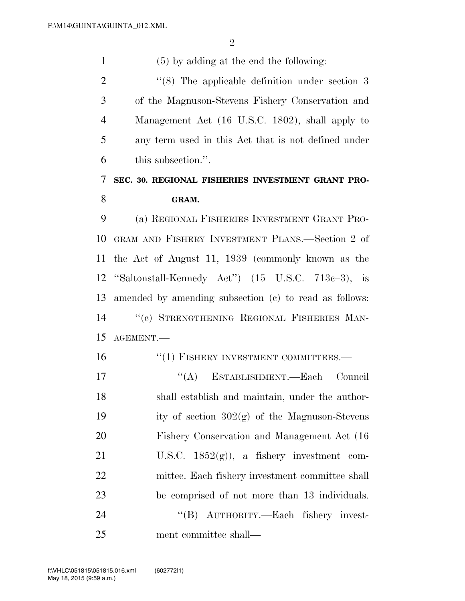(5) by adding at the end the following: 2 "(8) The applicable definition under section 3 of the Magnuson-Stevens Fishery Conservation and Management Act (16 U.S.C. 1802), shall apply to any term used in this Act that is not defined under this subsection.''. **SEC. 30. REGIONAL FISHERIES INVESTMENT GRANT PRO- GRAM.**  (a) REGIONAL FISHERIES INVESTMENT GRANT PRO- GRAM AND FISHERY INVESTMENT PLANS.—Section 2 of the Act of August 11, 1939 (commonly known as the ''Saltonstall-Kennedy Act'') (15 U.S.C. 713c–3), is amended by amending subsection (c) to read as follows: ''(c) STRENGTHENING REGIONAL FISHERIES MAN- AGEMENT.— 16 "(1) FISHERY INVESTMENT COMMITTEES.—  $((A)$  ESTABLISHMENT. Each Council shall establish and maintain, under the author-19 ity of section  $302(g)$  of the Magnuson-Stevens Fishery Conservation and Management Act (16 21 U.S.C.  $1852(g)$ , a fishery investment com- mittee. Each fishery investment committee shall be comprised of not more than 13 individuals. 24 "(B) AUTHORITY.—Each fishery invest-ment committee shall—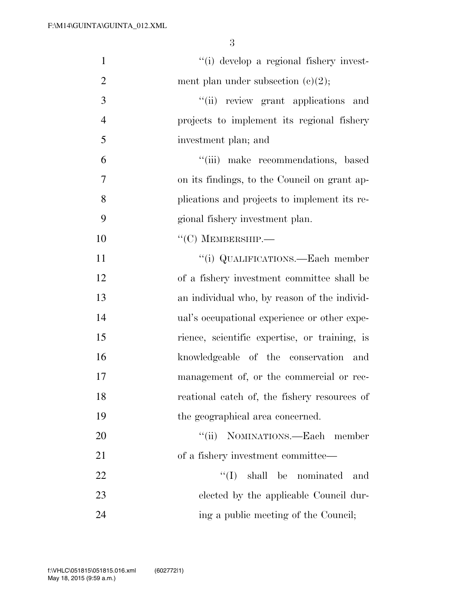| $\mathbf{1}$   | "(i) develop a regional fishery invest-       |
|----------------|-----------------------------------------------|
| $\overline{2}$ | ment plan under subsection $(c)(2)$ ;         |
| 3              | "(ii) review grant applications and           |
| $\overline{4}$ | projects to implement its regional fishery    |
| 5              | investment plan; and                          |
| 6              | "(iii) make recommendations, based            |
| 7              | on its findings, to the Council on grant ap-  |
| 8              | plications and projects to implement its re-  |
| 9              | gional fishery investment plan.               |
| 10             | $``(C)$ MEMBERSHIP.—                          |
| 11             | "(i) QUALIFICATIONS.—Each member              |
| 12             | of a fishery investment committee shall be    |
| 13             | an individual who, by reason of the individ-  |
| 14             | ual's occupational experience or other expe-  |
| 15             | rience, scientific expertise, or training, is |
| 16             | knowledgeable of the conservation and         |
| 17             | management of, or the commercial or rec-      |
| 18             | reational catch of, the fishery resources of  |
| 19             | the geographical area concerned.              |
| 20             | "(ii) NOMINATIONS.—Each member                |
| 21             | of a fishery investment committee—            |
| 22             | $\lq\lq$ (I) shall be nominated<br>and        |
| 23             | elected by the applicable Council dur-        |
| 24             | ing a public meeting of the Council;          |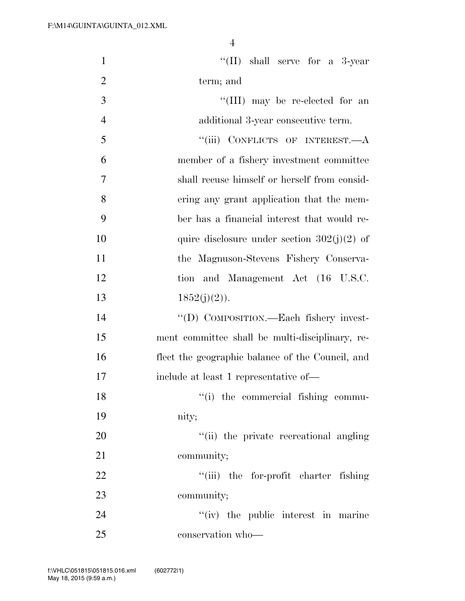| $\mathbf{1}$   | "(II) shall serve for a $3$ -year                |
|----------------|--------------------------------------------------|
| $\overline{2}$ | term; and                                        |
| 3              | "(III) may be re-elected for an                  |
| $\overline{4}$ | additional 3-year consecutive term.              |
| 5              | "(iii) CONFLICTS OF INTEREST.—A                  |
| 6              | member of a fishery investment committee         |
| 7              | shall recuse himself or herself from consid-     |
| 8              | ering any grant application that the mem-        |
| 9              | ber has a financial interest that would re-      |
| 10             | quire disclosure under section $302(j)(2)$ of    |
| 11             | the Magnuson-Stevens Fishery Conserva-           |
| 12             | tion and Management Act (16 U.S.C.               |
| 13             | $1852(j)(2)$ ).                                  |
| 14             | "(D) COMPOSITION.—Each fishery invest-           |
| 15             | ment committee shall be multi-disciplinary, re-  |
| 16             | flect the geographic balance of the Council, and |
| 17             | include at least 1 representative of-            |
| 18             | "(i) the commercial fishing commu-               |
| 19             | nity;                                            |
| 20             | "(ii) the private recreational angling           |
| 21             | community;                                       |
| 22             | "(iii) the for-profit charter fishing            |
| 23             | community;                                       |
| 24             | "(iv) the public interest in marine              |
| 25             | conservation who-                                |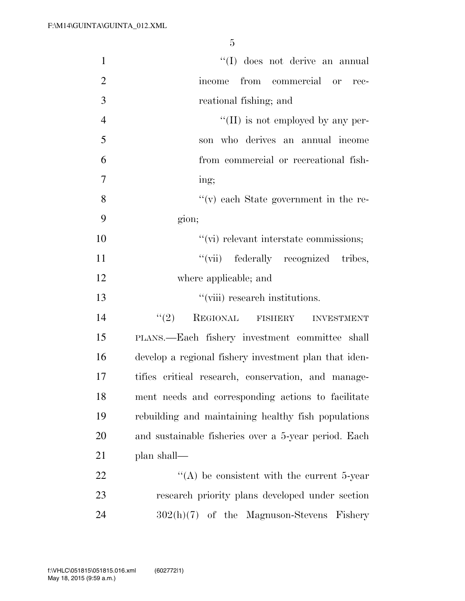| $\mathbf{1}$   | "(I) does not derive an annual                        |
|----------------|-------------------------------------------------------|
| $\overline{2}$ | income from commercial or rec-                        |
| 3              | reational fishing; and                                |
| $\overline{4}$ | $\lq\lq$ (II) is not employed by any per-             |
| 5              | son who derives an annual income                      |
| 6              | from commercial or recreational fish-                 |
| 7              | ing;                                                  |
| 8              | $f'(v)$ each State government in the re-              |
| 9              | gion;                                                 |
| 10             | "(vi) relevant interstate commissions;                |
| 11             | "(vii) federally recognized tribes,                   |
| 12             | where applicable; and                                 |
| 13             | $"$ (viii) research institutions.                     |
| 14             | (2)<br>REGIONAL FISHERY<br><b>INVESTMENT</b>          |
| 15             | PLANS.—Each fishery investment committee shall        |
| 16             | develop a regional fishery investment plan that iden- |
| 17             | tifies critical research, conservation, and manage-   |
| 18             | ment needs and corresponding actions to facilitate    |
| 19             | rebuilding and maintaining healthy fish populations   |
| 20             | and sustainable fisheries over a 5-year period. Each  |
| 21             | plan shall—                                           |
| 22             | $\cdot$ (A) be consistent with the current 5-year     |
| 23             | research priority plans developed under section       |
| 24             | $302(h)(7)$ of the Magnuson-Stevens Fishery           |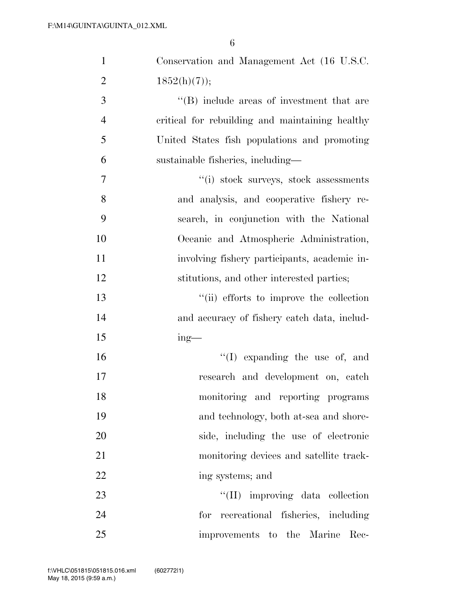| $\mathbf{1}$   | Conservation and Management Act (16 U.S.C.      |
|----------------|-------------------------------------------------|
| $\overline{2}$ | $1852(h)(7)$ ;                                  |
| 3              | "(B) include areas of investment that are       |
| $\overline{4}$ | critical for rebuilding and maintaining healthy |
| 5              | United States fish populations and promoting    |
| 6              | sustainable fisheries, including—               |
| 7              | "(i) stock surveys, stock assessments           |
| 8              | and analysis, and cooperative fishery re-       |
| 9              | search, in conjunction with the National        |
| 10             | Oceanic and Atmospheric Administration,         |
| 11             | involving fishery participants, academic in-    |
| 12             | stitutions, and other interested parties;       |
| 13             | "(ii) efforts to improve the collection         |
| 14             | and accuracy of fishery catch data, includ-     |
| 15             | $ing$ —                                         |
| 16             | $\lq\lq$ (I) expanding the use of, and          |
| 17             | research and development on, catch              |
| 18             | monitoring and reporting programs               |
| 19             | and technology, both at-sea and shore-          |
| 20             | side, including the use of electronic           |
| 21             | monitoring devices and satellite track-         |
| 22             | ing systems; and                                |
| 23             | "(II) improving data collection                 |
| 24             | for recreational fisheries, including           |
| 25             | improvements to the Marine<br>Rec-              |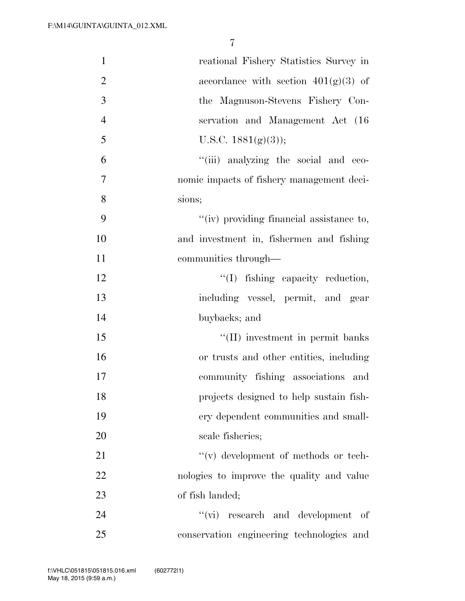| $\mathbf{1}$   | reational Fishery Statistics Survey in       |
|----------------|----------------------------------------------|
| $\overline{2}$ | accordance with section $401(g)(3)$ of       |
| 3              | the Magnuson-Stevens Fishery Con-            |
| $\overline{4}$ | servation and Management Act (16)            |
| 5              | U.S.C. $1881(g)(3)$ ;                        |
| 6              | "(iii) analyzing the social and eco-         |
| 7              | nomic impacts of fishery management deci-    |
| 8              | sions;                                       |
| 9              | "(iv) providing financial assistance to,     |
| 10             | and investment in, fishermen and fishing     |
| 11             | communities through—                         |
| 12             | "(I) fishing capacity reduction,             |
| 13             | including vessel, permit, and gear           |
| 14             | buybacks; and                                |
| 15             | "(II) investment in permit banks             |
| 16             | or trusts and other entities, including      |
| 17             | community fishing associations and           |
| 18             | projects designed to help sustain fish-      |
| 19             | ery dependent communities and small-         |
| 20             | scale fisheries;                             |
| 21             | $\lq\lq$ (v) development of methods or tech- |
| 22             | nologies to improve the quality and value    |
| 23             | of fish landed;                              |
| 24             | $\lq\lq$ (vi) research and development of    |
| 25             | conservation engineering technologies and    |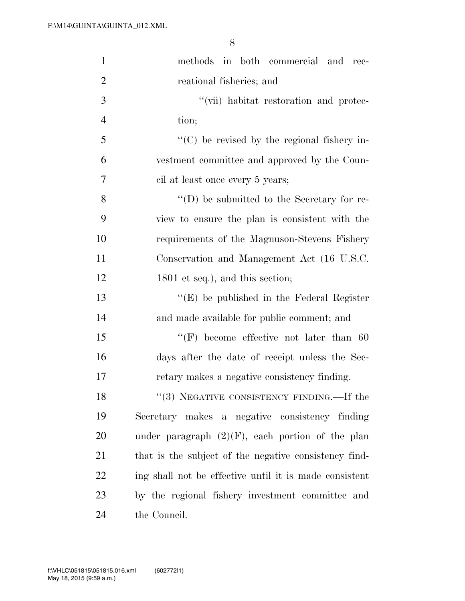| $\mathbf{1}$   | methods in both commercial and rec-                    |
|----------------|--------------------------------------------------------|
| $\overline{2}$ | reational fisheries; and                               |
| 3              | "(vii) habitat restoration and protec-                 |
| $\overline{4}$ | tion;                                                  |
| 5              | $\lq\lq$ (C) be revised by the regional fishery in-    |
| 6              | vestment committee and approved by the Coun-           |
| $\overline{7}$ | cil at least once every 5 years;                       |
| 8              | $\lq\lq$ (D) be submitted to the Secretary for re-     |
| 9              | view to ensure the plan is consistent with the         |
| 10             | requirements of the Magnuson-Stevens Fishery           |
| 11             | Conservation and Management Act (16 U.S.C.             |
| 12             | 1801 et seq.), and this section;                       |
| 13             | $\lq\lq$ (E) be published in the Federal Register      |
| 14             | and made available for public comment; and             |
| 15             | $\lq\lq(F)$ become effective not later than 60         |
| 16             | days after the date of receipt unless the Sec-         |
| $17\,$         | retary makes a negative consistency finding.           |
| 18             | "(3) NEGATIVE CONSISTENCY FINDING.—If the              |
| 19             | Secretary makes a negative consistency finding         |
| 20             | under paragraph $(2)(F)$ , each portion of the plan    |
| 21             | that is the subject of the negative consistency find-  |
| 22             | ing shall not be effective until it is made consistent |
| 23             | by the regional fishery investment committee and       |
| 24             | the Council.                                           |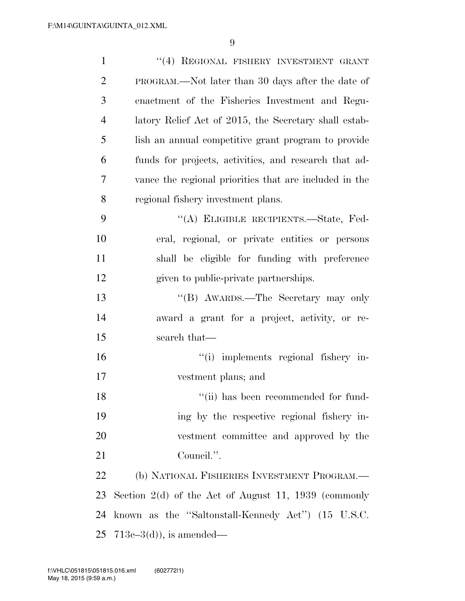| $\mathbf{1}$   | "(4) REGIONAL FISHERY INVESTMENT GRANT                 |
|----------------|--------------------------------------------------------|
| $\overline{2}$ | PROGRAM.—Not later than 30 days after the date of      |
| 3              | enactment of the Fisheries Investment and Regu-        |
| $\overline{4}$ | latory Relief Act of 2015, the Secretary shall estab-  |
| 5              | lish an annual competitive grant program to provide    |
| 6              | funds for projects, activities, and research that ad-  |
| 7              | vance the regional priorities that are included in the |
| 8              | regional fishery investment plans.                     |
| 9              | "(A) ELIGIBLE RECIPIENTS.—State, Fed-                  |
| 10             | eral, regional, or private entities or persons         |
| 11             | shall be eligible for funding with preference          |
| 12             | given to public-private partnerships.                  |
| 13             | "(B) AWARDS.—The Secretary may only                    |
| 14             | award a grant for a project, activity, or re-          |
| 15             | search that—                                           |
| 16             | "(i) implements regional fishery in-                   |
| 17             | vestment plans; and                                    |
| 18             | "(ii) has been recommended for fund-                   |
| 19             | ing by the respective regional fishery in-             |
| 20             | vestment committee and approved by the                 |
| 21             | Council.".                                             |
| 22             | (b) NATIONAL FISHERIES INVESTMENT PROGRAM.—            |
| 23             | Section $2(d)$ of the Act of August 11, 1939 (commonly |
| 24             | known as the "Saltonstall-Kennedy Act" (15 U.S.C.      |
| 25             | $713e-3(d)$ , is amended—                              |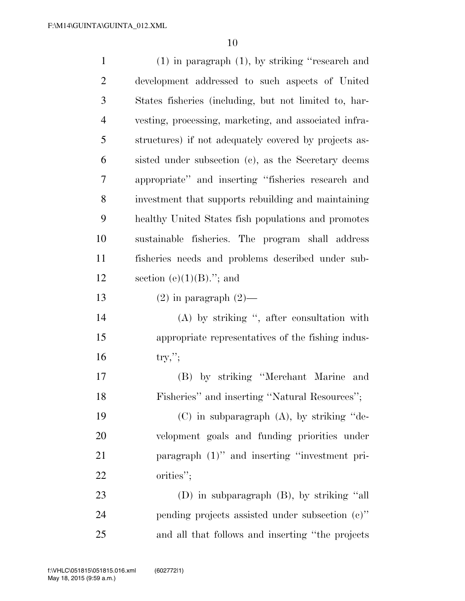| $\mathbf{1}$   | $(1)$ in paragraph $(1)$ , by striking "research and  |
|----------------|-------------------------------------------------------|
| $\overline{2}$ | development addressed to such aspects of United       |
| 3              | States fisheries (including, but not limited to, har- |
| $\overline{4}$ | vesting, processing, marketing, and associated infra- |
| 5              | structures) if not adequately covered by projects as- |
| 6              | sisted under subsection (c), as the Secretary deems   |
| 7              | appropriate" and inserting "fisheries research and    |
| 8              | investment that supports rebuilding and maintaining   |
| 9              | healthy United States fish populations and promotes   |
| 10             | sustainable fisheries. The program shall address      |
| 11             | fisheries needs and problems described under sub-     |
| 12             | section $(e)(1)(B)$ ."; and                           |
| 13             | $(2)$ in paragraph $(2)$ —                            |
| 14             | $(A)$ by striking ", after consultation with          |
| 15             | appropriate representatives of the fishing indus-     |
| 16             | $try,$ ";                                             |
| 17             | (B) by striking "Merchant Marine<br>and               |
| 18             | Fisheries" and inserting "Natural Resources";         |
| 19             | $(C)$ in subparagraph $(A)$ , by striking "de-        |
| 20             | velopment goals and funding priorities under          |
| 21             | paragraph (1)" and inserting "investment pri-         |
| 22             | orities";                                             |
| 23             | (D) in subparagraph (B), by striking "all             |
| 24             | pending projects assisted under subsection $(c)$ "    |
| 25             | and all that follows and inserting "the projects"     |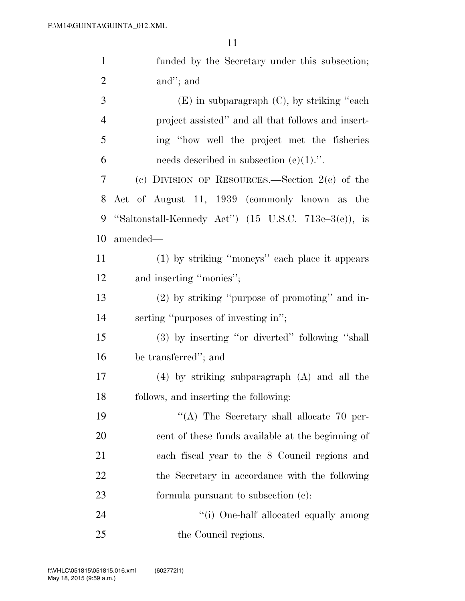| $\mathbf{1}$   | funded by the Secretary under this subsection;                   |
|----------------|------------------------------------------------------------------|
| $\overline{2}$ | and"; and                                                        |
| 3              | $(E)$ in subparagraph $(C)$ , by striking "each"                 |
| $\overline{4}$ | project assisted" and all that follows and insert-               |
| 5              | ing "how well the project met the fisheries"                     |
| 6              | needs described in subsection $(e)(1)$ .".                       |
| 7              | (c) DIVISION OF RESOURCES.—Section $2(e)$ of the                 |
| 8              | Act of August 11, 1939 (commonly known as the                    |
| 9              | "Saltonstall-Kennedy Act") $(15 \text{ U.S.C. } 713e-3(e))$ , is |
| 10             | amended—                                                         |
| 11             | (1) by striking "moneys" each place it appears                   |
| 12             | and inserting "monies";                                          |
| 13             | (2) by striking "purpose of promoting" and in-                   |
| 14             | serting "purposes of investing in";                              |
| 15             | (3) by inserting "or diverted" following "shall                  |
| 16             | be transferred"; and                                             |
| 17             | $(4)$ by striking subparagraph $(A)$ and all the                 |
| 18             | follows, and inserting the following:                            |
| 19             | "(A) The Secretary shall allocate 70 per-                        |
| 20             | cent of these funds available at the beginning of                |
| 21             | each fiscal year to the 8 Council regions and                    |
| 22             | the Secretary in accordance with the following                   |
| 23             | formula pursuant to subsection (c):                              |
| 24             | "(i) One-half allocated equally among                            |
| 25             | the Council regions.                                             |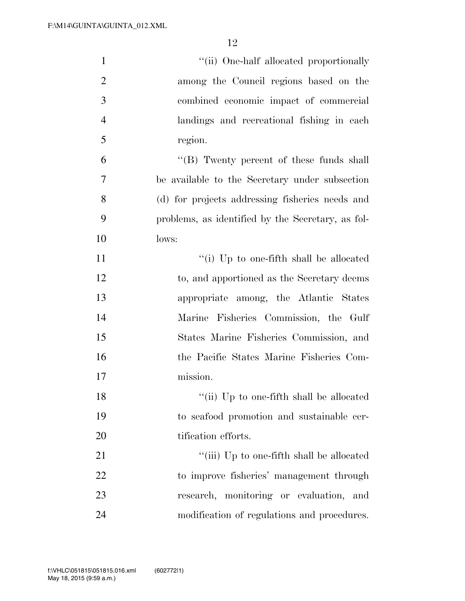| $\mathbf{1}$   | "(ii) One-half allocated proportionally           |
|----------------|---------------------------------------------------|
| $\overline{2}$ | among the Council regions based on the            |
| 3              | combined economic impact of commercial            |
| $\overline{4}$ | landings and recreational fishing in each         |
| 5              | region.                                           |
| 6              | $\lq\lq$ (B) Twenty percent of these funds shall  |
| 7              | be available to the Secretary under subsection    |
| 8              | (d) for projects addressing fisheries needs and   |
| 9              | problems, as identified by the Secretary, as fol- |
| 10             | lows:                                             |
| 11             | "(i) Up to one-fifth shall be allocated           |
| 12             | to, and apportioned as the Secretary deems        |
| 13             | appropriate among, the Atlantic States            |
| 14             | Marine Fisheries Commission, the Gulf             |
| 15             | States Marine Fisheries Commission, and           |
| 16             | the Pacific States Marine Fisheries Com-          |
| 17             | mission.                                          |
| 18             | "(ii) Up to one-fifth shall be allocated          |
| 19             | to seafood promotion and sustainable cer-         |
| 20             | tification efforts.                               |
| 21             | "(iii) Up to one-fifth shall be allocated         |
| 22             | to improve fisheries' management through          |
| 23             | research, monitoring or evaluation, and           |
| 24             | modification of regulations and procedures.       |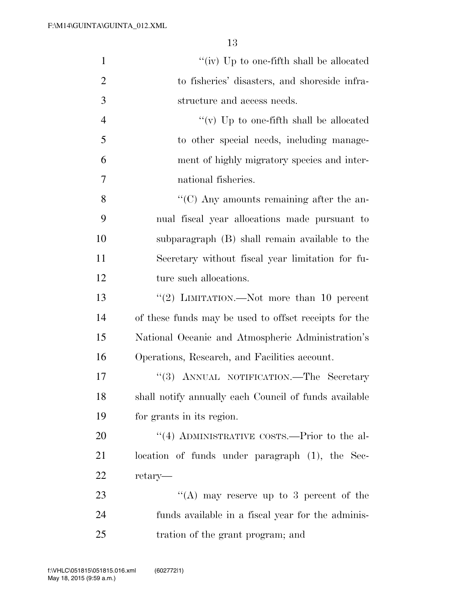| $\mathbf{1}$   | "(iv) Up to one-fifth shall be allocated              |
|----------------|-------------------------------------------------------|
| $\overline{2}$ | to fisheries' disasters, and shoreside infra-         |
| 3              | structure and access needs.                           |
| $\overline{4}$ | "(v) Up to one-fifth shall be allocated               |
| 5              | to other special needs, including manage-             |
| 6              | ment of highly migratory species and inter-           |
| 7              | national fisheries.                                   |
| 8              | $\cdot\cdot$ (C) Any amounts remaining after the an-  |
| 9              | nual fiscal year allocations made pursuant to         |
| 10             | subparagraph (B) shall remain available to the        |
| 11             | Secretary without fiscal year limitation for fu-      |
| 12             | ture such allocations.                                |
| 13             | "(2) LIMITATION.—Not more than 10 percent             |
| 14             | of these funds may be used to offset receipts for the |
| 15             | National Oceanic and Atmospheric Administration's     |
| 16             | Operations, Research, and Facilities account.         |
| 17             | "(3) ANNUAL NOTIFICATION.—The Secretary               |
| 18             | shall notify annually each Council of funds available |
| 19             | for grants in its region.                             |
| 20             | $\cdot$ (4) ADMINISTRATIVE COSTS.—Prior to the al-    |
| 21             | location of funds under paragraph (1), the Sec-       |
| 22             | retary—                                               |
| 23             | "(A) may reserve up to 3 percent of the               |
| 24             | funds available in a fiscal year for the adminis-     |
| 25             | tration of the grant program; and                     |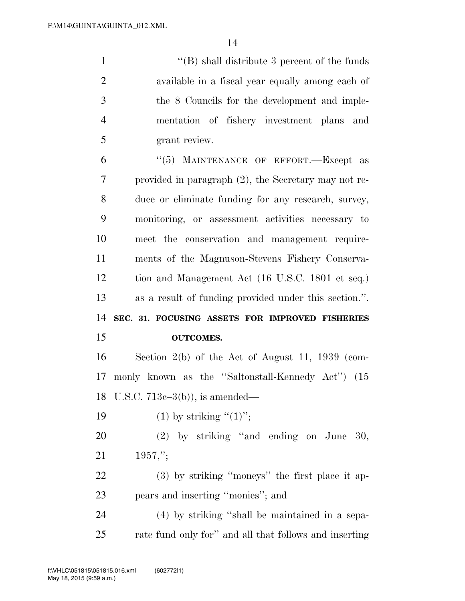''(B) shall distribute 3 percent of the funds available in a fiscal year equally among each of the 8 Councils for the development and imple- mentation of fishery investment plans and grant review.

6 "(5) MAINTENANCE OF EFFORT.—Except as provided in paragraph (2), the Secretary may not re- duce or eliminate funding for any research, survey, monitoring, or assessment activities necessary to meet the conservation and management require- ments of the Magnuson-Stevens Fishery Conserva- tion and Management Act (16 U.S.C. 1801 et seq.) as a result of funding provided under this section.''. **SEC. 31. FOCUSING ASSETS FOR IMPROVED FISHERIES OUTCOMES.**  Section 2(b) of the Act of August 11, 1939 (com-monly known as the ''Saltonstall-Kennedy Act'') (15

U.S.C. 713c–3(b)), is amended—

19  $(1)$  by striking " $(1)$ ";

 (2) by striking ''and ending on June 30, 1957,'';

 (3) by striking ''moneys'' the first place it ap-pears and inserting ''monies''; and

 (4) by striking ''shall be maintained in a sepa-rate fund only for'' and all that follows and inserting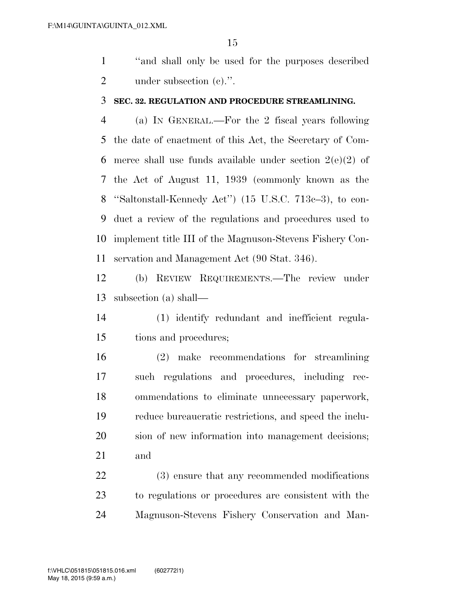''and shall only be used for the purposes described 2 under subsection (c).".

#### **SEC. 32. REGULATION AND PROCEDURE STREAMLINING.**

 (a) IN GENERAL.—For the 2 fiscal years following the date of enactment of this Act, the Secretary of Com-6 merce shall use funds available under section  $2(e)(2)$  of the Act of August 11, 1939 (commonly known as the ''Saltonstall-Kennedy Act'') (15 U.S.C. 713c–3), to con- duct a review of the regulations and procedures used to implement title III of the Magnuson-Stevens Fishery Con-servation and Management Act (90 Stat. 346).

 (b) REVIEW REQUIREMENTS.—The review under subsection (a) shall—

 (1) identify redundant and inefficient regula-tions and procedures;

 (2) make recommendations for streamlining such regulations and procedures, including rec- ommendations to eliminate unnecessary paperwork, reduce bureaucratic restrictions, and speed the inclu- sion of new information into management decisions; and

 (3) ensure that any recommended modifications to regulations or procedures are consistent with the Magnuson-Stevens Fishery Conservation and Man-